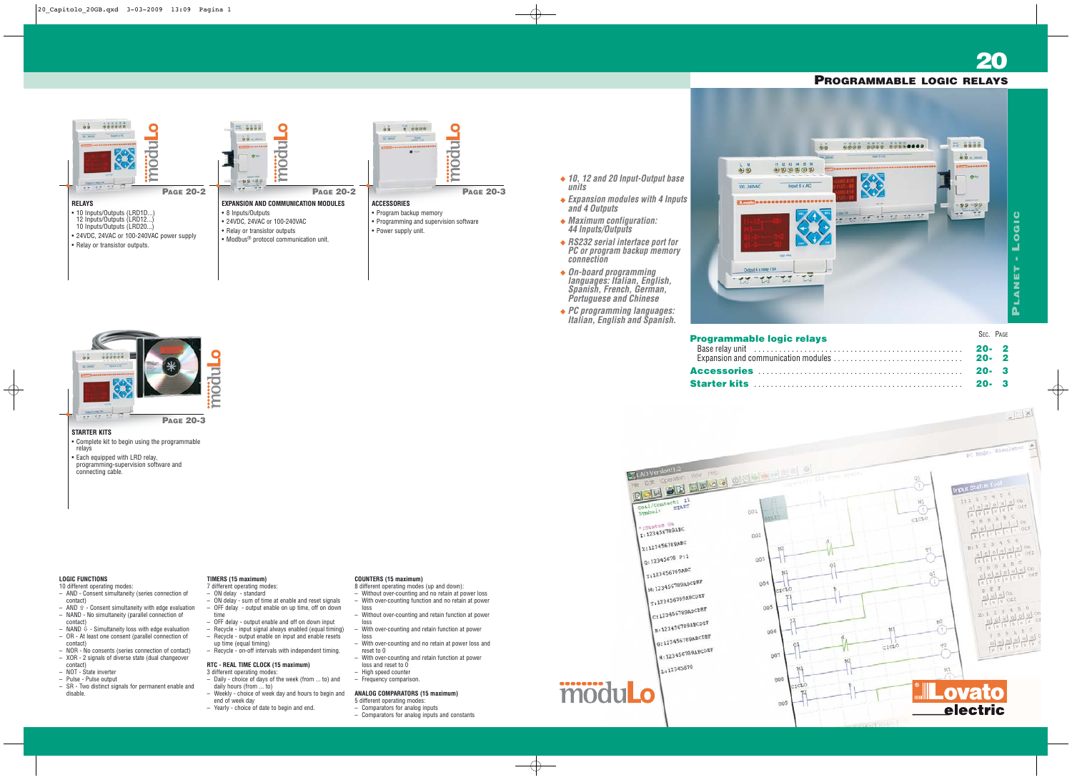# **STARTER KITS**

- Complete kit to begin using the programmable relays
- Each equipped with LRD relay, programming-supervision software and connecting cable.





**20**

- **10, 12 and 20 Input-Output base units**
- **Expansion modules with 4 Inputs and 4 Outputs**
- **Maximum configuration: 44 Inputs/Outputs**
- **RS232 serial interface port for PC or program backup memory connection**
- **On-board programming languages: Italian, English, Spanish, French, German, Portuguese and Chinese**
- **PC programming languages: Italian, English and Spanish.**



# **LOGIC FUNCTIONS**

- 10 different operating modes: – AND - Consent simultaneity (series connection of
- contact)  $-$  AND  $\hat{v}$  - Consent simultaneity with edge evaluation – NAND - No simultaneity (parallel connection of
- contact) – NAND  $\overline{\psi}$  - Simultaneity loss with edge evaluation
- OR At least one consent (parallel connection of contact)
- NOR No consents (series connection of contact) – XOR - 2 signals of diverse state (dual changeover contact)
- NOT State inverter
- Pulse Pulse output
- SR Two distinct signals for permanent enable and disable.

# **TIMERS (15 maximum)**

- 7 different operating modes:
- ON delay standard
- ON delay sum of time at enable and reset signals – OFF delay - output enable on up time, off on down time
- OFF delay output enable and off on down input
- Recycle input signal always enabled (equal timing) – Recycle - output enable on input and enable resets
- up time (equal timing) – Recycle - on-off intervals with independent timing.
- 

# **RTC - REAL TIME CLOCK (15 maximum)**

- 3 different operating modes: – Daily - choice of days of the week (from ... to) and daily hours (from ... to)
- Weekly choice of week day and hours to begin and end of week day
- Yearly choice of date to begin and end.

# **COUNTERS (15 maximum)**

- 8 different operating modes (up and down):
- Without over-counting and no retain at power loss
- With over-counting function and no retain at power
- loss – Without over-counting and retain function at power loss
- With over-counting and retain function at power
- loss – With over-counting and no retain at power loss and
- reset to 0 – With over-counting and retain function at power
- loss and reset to  $0$
- High speed counter
- Frequency comparison.

# **ANALOG COMPARATORS (15 maximum)**

- 5 different operating modes: – Comparators for analog inputs
- Comparators for analog inputs and constants
- 

Figure operators when the control of the state operators when the control of the state of the state of the state of the state of the state of the state of the state of the state of the state of the state of the state of th Symbol: 11<br>Symbol: 5TART  $\begin{cases} \text{...} \\ \text{...} \\ \text{...} \\ \text{...} \end{cases}$ X:123456789ABC  $Q: 12345678$  Pr1 Y: 123456789ABC M: 123456789ABCDEF M: 123456789ABCDEF Tiles ...<br>C:123456789ABCDEF  $\int_{R:123456789ABCDEF}^{C1123}$ R: 123456789ABCDEF 8:143355789ABCDEF

L:12345678

# modul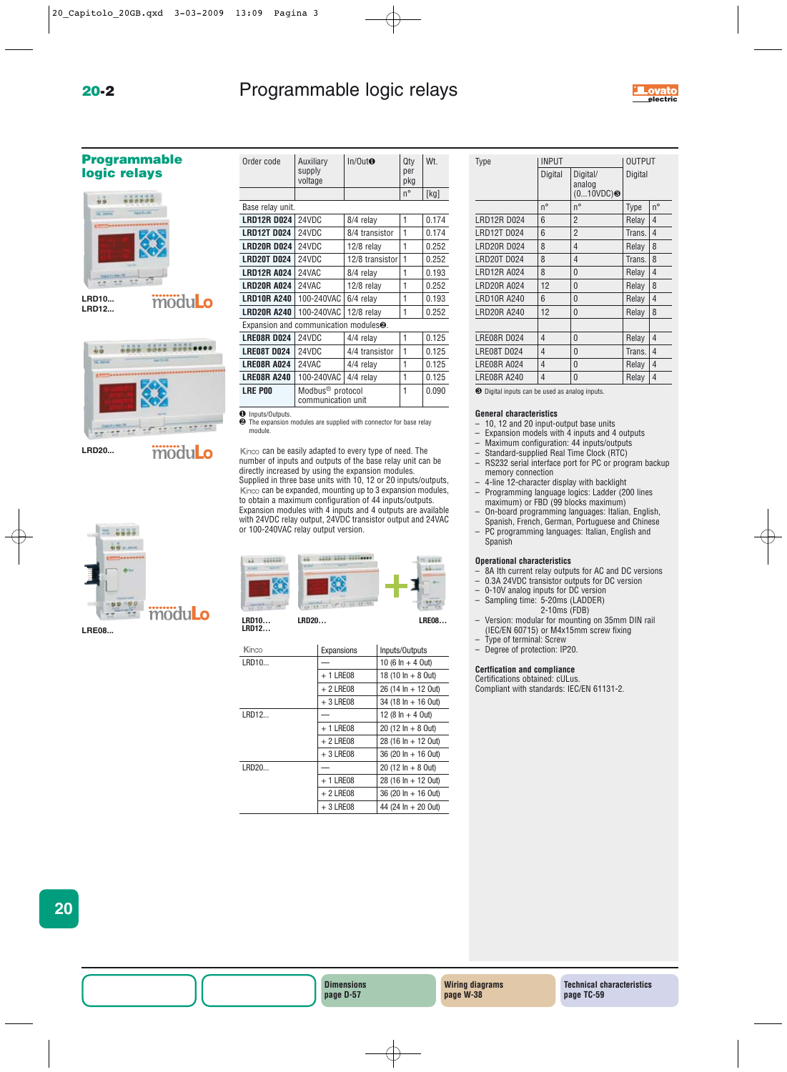# **20-2 Programmable logic relays**



# **Programmable logic relays**





```
modulo
```


**LRD20...**

| a.<br>л |  |
|---------|--|
|         |  |



**LRE08...**

| Order code         | Auxiliary<br>supply<br>voltage                     | In/Out <sub>•</sub> | Qty<br>per<br>pkg | Wt.   |
|--------------------|----------------------------------------------------|---------------------|-------------------|-------|
|                    |                                                    |                     | $n^{\circ}$       | [kg]  |
| Base relay unit.   |                                                    |                     |                   |       |
| <b>LRD12R D024</b> | 24VDC                                              | 8/4 relay           | 1                 | 0.174 |
| <b>LRD12T D024</b> | 24VDC                                              | 8/4 transistor      | 1                 | 0.174 |
| <b>LRD20RD024</b>  | 24VDC                                              | 12/8 relay          | 1                 | 0.252 |
| <b>LRD20T D024</b> | 24VDC                                              | 12/8 transistor     | 1                 | 0.252 |
| <b>LRD12R A024</b> | 24VAC                                              | 8/4 relay           | 1                 | 0.193 |
| <b>LRD20R A024</b> | 24VAC                                              | $12/8$ relay        | 1                 | 0.252 |
| <b>LRD10R A240</b> | 100-240VAC                                         | 6/4 relay           | 1                 | 0.193 |
| <b>LRD20R A240</b> | 100-240VAC                                         | 12/8 relay          | 1                 | 0.252 |
|                    | Expansion and communication modules <sup>2</sup> . |                     |                   |       |
| <b>LRE08R D024</b> | 24VDC                                              | 4/4 relay           | 1                 | 0.125 |
| <b>LRE08T D024</b> | 24VDC                                              | 4/4 transistor      | 1                 | 0.125 |
| <b>LRE08R A024</b> | 24VAC                                              | 4/4 relay           | 1                 | 0.125 |
| <b>LRE08R A240</b> | 100-240VAC                                         | 4/4 relay           | 1                 | 0.125 |
| <b>LRE POO</b>     | Modbus <sup>®</sup> protocol                       |                     | 1                 | 0.090 |
|                    | communication unit                                 |                     |                   |       |

Inputs/Outputs.

❷ The expansion modules are supplied with connector for base relay module.

Kinco can be easily adapted to every type of need. The number of inputs and outputs of the base relay unit can be directly increased by using the expansion modules. Supplied in three base units with 10, 12 or 20 inputs/outputs, Kinco can be expanded, mounting up to 3 expansion modules, to obtain a maximum configuration of 44 inputs/outputs. Expansion modules with 4 inputs and 4 outputs are available with 24VDC relay output, 24VDC transistor output and 24VAC or 100-240VAC relay output version.



**LRD12…**

| Kinco | Expansions | Inputs/Outputs                |
|-------|------------|-------------------------------|
| LRD10 |            | 10 (6 $\ln$ + 4 Out)          |
|       | $+1$ LRE08 | 18 (10 $\ln + 8$ Out)         |
|       | $+2$ LRE08 | $26(14 \ln + 12 \text{ Out})$ |
|       | $+3$ LRE08 | $34(18 \ln + 16 \text{ Out})$ |
| LRD12 |            | 12 (8 $\ln$ + 4 0ut)          |
|       | $+1$ LRE08 | $20(12 \ln + 80ut)$           |
|       | $+2$ LRE08 | $28(16 \ln + 12 \text{ Out})$ |
|       | $+3$ LRE08 | $36(20 \ln + 16 \text{ Out})$ |
| LRD20 |            | $20(12 \ln + 80ut)$           |
|       | $+1$ LRE08 | $28(16 \ln + 12 \text{ Out})$ |
|       | $+2$ LRE08 | $36(20 \ln + 16 \text{ Out})$ |
|       | $+3$ LRE08 | 44 (24 $\ln + 20$ Out)        |

| <b>Type</b>        | <b>INPUT</b>       |                                |         | <b>OUTPUT</b>  |  |
|--------------------|--------------------|--------------------------------|---------|----------------|--|
|                    | Digital            | Digital/<br>analog<br>(010VDC) | Digital |                |  |
|                    | $\mathsf{n}^\circ$ | $n^{\circ}$                    | Type    | $n^{\circ}$    |  |
| <b>LRD12R D024</b> | 6                  | $\overline{2}$                 | Relay   | 4              |  |
| <b>LRD12T D024</b> | 6                  | $\overline{2}$                 | Trans.  | 4              |  |
| <b>LRD20RD024</b>  | 8                  | 4                              | Relay   | 8              |  |
| <b>LRD20T D024</b> | 8                  | 4                              | Trans.  | 8              |  |
| <b>LRD12R A024</b> | 8                  | $\overline{0}$                 | Relay   | 4              |  |
| <b>LRD20R A024</b> | 12                 | $\overline{0}$                 | Relay   | 8              |  |
| <b>LRD10R A240</b> | 6                  | 0                              | Relay   | 4              |  |
| <b>LRD20R A240</b> | 12                 | 0                              | Relay   | 8              |  |
|                    |                    |                                |         |                |  |
| <b>LRE08R D024</b> | 4                  | 0                              | Relay   | $\overline{4}$ |  |
| <b>LRE08T D024</b> | 4                  | 0                              | Trans.  | 4              |  |
| <b>LRE08R A024</b> | 4                  | 0                              | Relay   | 4              |  |
| <b>LRE08R A240</b> | $\overline{4}$     | 0                              | Relay   | 4              |  |
|                    |                    |                                |         |                |  |

❸ Digital inputs can be used as analog inputs.

# **General characteristics**

- 10, 12 and 20 input-output base units
- Expansion models with 4 inputs and 4 outputs
- Maximum configuration: 44 inputs/outputs
- Standard-supplied Real Time Clock (RTC)
- RS232 serial interface port for PC or program backup memory connection
- 4-line 12-character display with backlight – Programming language logics: Ladder (200 lines
- maximum) or FBD (99 blocks maximum) – On-board programming languages: Italian, English,
- Spanish, French, German, Portuguese and Chinese – PC programming languages: Italian, English and Spanish

## **Operational characteristics**

- $-$  8A Ith current relay outputs for AC and DC versions<br> $-$  0.3A 24VDC transistor outputs for DC version
- $-$  0.3A 24VDC transistor outputs for DC version<br> $-$  0-10V analog inputs for DC version
- 0-10V analog inputs for DC version
- Sampling time: 5-20ms (LADDER) 2-10ms (FDB)
- Version: modular for mounting on 35mm DIN rail (IEC/EN 60715) or M4x15mm screw fixing
- Type of terminal: Screw<br>– Degree of protection: IF
- Degree of protection: IP20.

# **Certfication and compliance**

Certifications obtained: cULus. Compliant with standards: IEC/EN 61131-2.